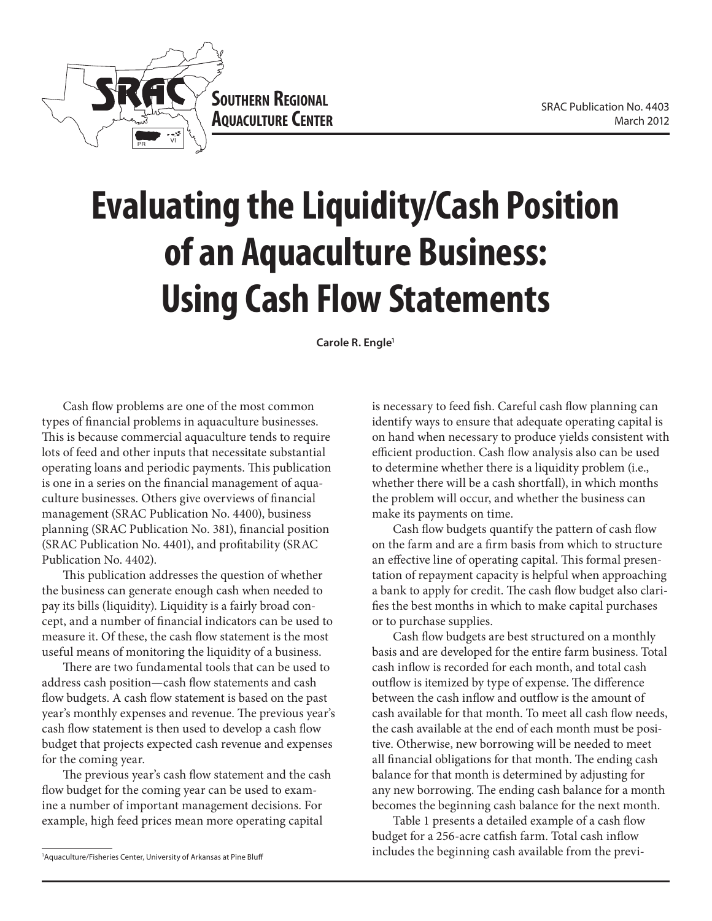

## **Evaluating the Liquidity/Cash Position of an Aquaculture Business: Using Cash Flow Statements**

**Carole R. Engle1**

Cash flow problems are one of the most common types of financial problems in aquaculture businesses. This is because commercial aquaculture tends to require lots of feed and other inputs that necessitate substantial operating loans and periodic payments. This publication is one in a series on the financial management of aquaculture businesses. Others give overviews of financial management (SRAC Publication No. 4400), business planning (SRAC Publication No. 381), financial position (SRAC Publication No. 4401), and profitability (SRAC Publication No. 4402).

This publication addresses the question of whether the business can generate enough cash when needed to pay its bills (liquidity). Liquidity is a fairly broad concept, and a number of financial indicators can be used to measure it. Of these, the cash flow statement is the most useful means of monitoring the liquidity of a business.

There are two fundamental tools that can be used to address cash position—cash flow statements and cash flow budgets. A cash flow statement is based on the past year's monthly expenses and revenue. The previous year's cash flow statement is then used to develop a cash flow budget that projects expected cash revenue and expenses for the coming year.

The previous year's cash flow statement and the cash flow budget for the coming year can be used to examine a number of important management decisions. For example, high feed prices mean more operating capital

is necessary to feed fish. Careful cash flow planning can identify ways to ensure that adequate operating capital is on hand when necessary to produce yields consistent with efficient production. Cash flow analysis also can be used to determine whether there is a liquidity problem (i.e., whether there will be a cash shortfall), in which months the problem will occur, and whether the business can make its payments on time.

Cash flow budgets quantify the pattern of cash flow on the farm and are a firm basis from which to structure an effective line of operating capital. This formal presentation of repayment capacity is helpful when approaching a bank to apply for credit. The cash flow budget also clarifies the best months in which to make capital purchases or to purchase supplies.

Cash flow budgets are best structured on a monthly basis and are developed for the entire farm business. Total cash inflow is recorded for each month, and total cash outflow is itemized by type of expense. The difference between the cash inflow and outflow is the amount of cash available for that month. To meet all cash flow needs, the cash available at the end of each month must be positive. Otherwise, new borrowing will be needed to meet all financial obligations for that month. The ending cash balance for that month is determined by adjusting for any new borrowing. The ending cash balance for a month becomes the beginning cash balance for the next month.

Table 1 presents a detailed example of a cash flow budget for a 256-acre catfish farm. Total cash inflow includes the beginning cash available from the previ-

<sup>1</sup> Aquaculture/Fisheries Center, University of Arkansas at Pine Bluff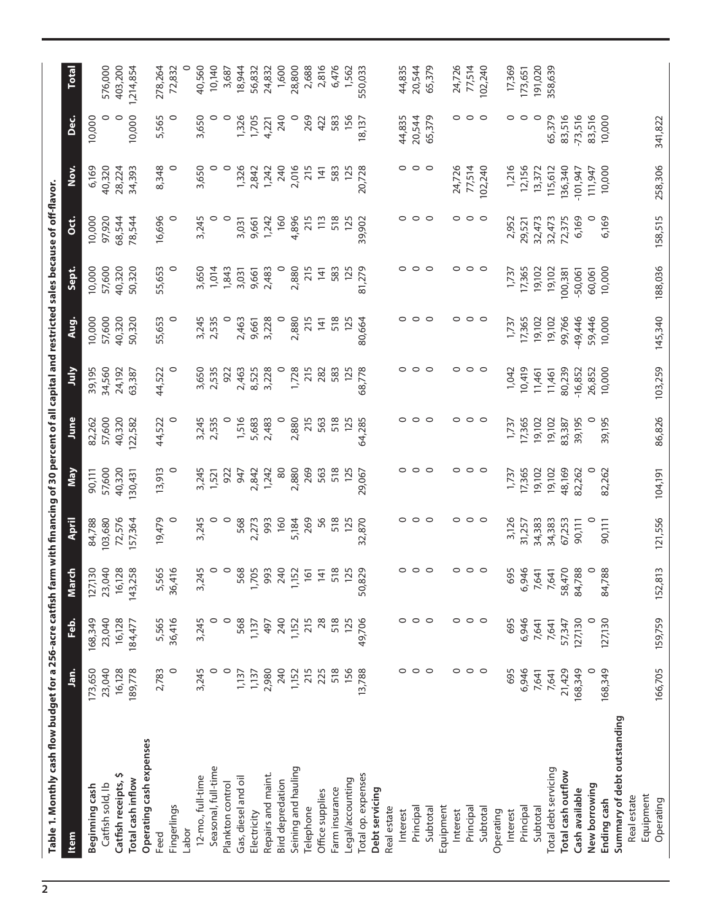| Table 1. Monthly cash flow budget for a 256-acre catfish farm with financing of 30 percent of all capital and restricted sales because of off-flavor. |                   |                   |                   |                   |                  |                  |                  |                  |                  |                  |                 |           |              |
|-------------------------------------------------------------------------------------------------------------------------------------------------------|-------------------|-------------------|-------------------|-------------------|------------------|------------------|------------------|------------------|------------------|------------------|-----------------|-----------|--------------|
| Item                                                                                                                                                  | <u>ສົ</u>         | فه<br>F           | 동<br>Mar          | April             | Nay              | June             | λlη              | Aug.             | Sept.            | ö                | Nov.            | ن<br>م    | <b>Total</b> |
| Catfish sold, lb<br>Beginning cash                                                                                                                    | 173,650<br>23,040 | 168,349<br>23,040 | 127,130<br>23,040 | 103,680<br>84,788 | 57,600<br>90,111 | 57,600<br>82,262 | 39,195<br>34,560 | 10,000<br>57,600 | 10,000<br>57,600 | 97,920<br>10,000 | 6,169<br>40,320 | 10,000    | 576,000      |
| Ş<br>Catfish receipts,                                                                                                                                | 16,128            | 16,128            | 16,128            | 72,576            | 40,320           | 40,320           | 24,192           | 40,320           | 40,320           | 68,544           | 28,224          | $\circ$   | 403,200      |
| Total cash inflow                                                                                                                                     | 189,778           | 184,477           | 143,258           | 157,364           | 130,431          | 122,582          | 63,387           | 50,320           | 50,320           | 78,544           | 34,393          | 10,000    | 1,214,854    |
| Operating cash expenses<br>Feed                                                                                                                       | 2,783             | 5,565             |                   | 19,479            | 13,913           | 44,522           | 44,522           | 55,653           | 55,653           | 16,696           | 8,348           | 5,565     | 278,264      |
| Fingerlings                                                                                                                                           | 0                 | 36,416            | 5,565<br>36,416   | 0                 | 0                | 0                | 0                | 0                | $\circ$          | 0                | 0               | 0         | 72,832       |
| Labor                                                                                                                                                 |                   |                   |                   |                   |                  |                  |                  |                  |                  |                  |                 |           |              |
| 12-mo., full-time                                                                                                                                     | 3,245             | 3,245             | 3,245             | 3,245             | 3,245            | 3,245            | 3,650            | 3,245            | 3,650            | 3,245            | 3,650           | 3,650     | 40,560       |
| Seasonal, full-time                                                                                                                                   | 0                 | $\circ$           | $\circ$           | 0                 | 1,521            | 2,535            | 2,535            | 2,535            | 1,014            | $\circ$          |                 |           | 10,140       |
| Plankton control                                                                                                                                      | $\circ$           | $\circ$           | $\circ$           | 0                 | 922              |                  | 922              |                  | 1,843            | $\circ$          | 0               | $\circ$   | 3,687        |
| Gas, diesel and oil                                                                                                                                   | 1,137             | 568               | 568               | 568               | 947              | 1,516            | 2,463            | 2,463            | 3,031            | 3,031            | 1,326           | 1,326     | 18,944       |
| Electricity                                                                                                                                           | 1,137             | 1,137             | 1,705             | 2,273             | 2,842            | 5,683            | 8,525            | 9,661            | 9,661            | 9,661            | 2,842           | 1,705     | 56,832       |
| Repairs and maint.                                                                                                                                    | 2,980             | 497               | 993               | 993               | 1,242            | 2,483            | 3,228            | 3,228            | 2,483            | 1,242            | 1,242           | 4,221     | 24,832       |
| <b>Bird depredation</b>                                                                                                                               | 240               | 240               | 240               | 160               | $\frac{8}{2}$    | $\circ$          |                  | $\circ$          | $\circ$          | 160              | 240             | 240       | 1,600        |
| Seining and hauling                                                                                                                                   | 1,152             | 1,152             | 1,152<br>161      | 5,184             | 2,880            | 2,880            | 1,728            | 2,880            | 2,880            | 4,896            | 2,016           |           | 28,800       |
| Telephone                                                                                                                                             | 215               | 215               |                   | 269               | 269              | 215              | 215              | 215              | 215              | 215              | 215             | 269       | 2,688        |
| Office supplies                                                                                                                                       | 225               | 28                | 141               | 56                | 563              | 563              | 282              | 141              | $\overline{141}$ | 113              | 141             | 422       | 2,816        |
| Farm insurance                                                                                                                                        | 518               | 518               | 518               | 518               | 518              | 518              | 583              | 518              | 583              | 518              | 583             | 583       | 6,476        |
| Legal/accounting                                                                                                                                      | 156               | 125               | 125               | 125               | 125              | 125              | 125              | 125              | 125              | 125              | 125             | 156       | 1,562        |
| Total op. expenses                                                                                                                                    | 13,788            | 49,706            | 50,829            | 32,870            | 29,067           | 64,285           | 68,778           | 80,664           | 81,279           | 39,902           | 20,728          | 18,137    | 550,033      |
| Debt servicing                                                                                                                                        |                   |                   |                   |                   |                  |                  |                  |                  |                  |                  |                 |           |              |
| Real estate                                                                                                                                           |                   |                   |                   |                   |                  |                  |                  |                  |                  |                  |                 |           |              |
| Interest                                                                                                                                              | 0                 | 0                 | 0                 | 0                 |                  |                  | 0                | 0                | 0                | 0                |                 | 44,835    | 44,835       |
| Principal                                                                                                                                             | $\circ$           | $\circ$           | 0                 | $\circ$           | 0                | 0                | $\circ$          | $\circ$          | $\circ$          | $\circ$          | 0               | 20,544    | 20,544       |
| Subtotal                                                                                                                                              | $\circ$           | $\circ$           | $\circ$           | $\circ$           | $\circ$          | $\circ$          | $\circ$          | $\circ$          | $\circ$          | $\circ$          | $\circ$         | 65,379    | 65,379       |
| Equipment                                                                                                                                             |                   |                   |                   |                   |                  |                  |                  |                  |                  |                  |                 |           |              |
| Interest                                                                                                                                              | $\circ$           | $\circ$           | 0                 | 0                 | 0                | 0                | $\circ$          | 0                | $\circ$          | $\circ$          | 24,726          | 0         | 24,726       |
| Principal                                                                                                                                             | $\circ$ $\circ$   | $\circ$ $\circ$   | $\circ$           | $\circ$ $\circ$   | $\circ$ $\circ$  | $\circ$          | $\circ$ $\circ$  | $\circ$ $\circ$  | $\circ$ $\circ$  | $\circ$ $\circ$  | 77,514          | $\circ$   | 77,514       |
| Subtotal                                                                                                                                              |                   |                   | $\circ$           |                   |                  | $\circ$          |                  |                  |                  |                  | 102,240         | $\circ$   | 102,240      |
| Operating                                                                                                                                             |                   |                   |                   |                   |                  |                  |                  |                  |                  |                  |                 |           |              |
| Interest                                                                                                                                              | 695               | 695               | 695               | 3,126             | 1,737            | 1,737            | 1,042            | 1,737            | 1,737            | 2,952            | 1,216           | 0         | 17,369       |
| Principal                                                                                                                                             | 6,946             | 6,946             | 6,946             | 31,257            | 17,365           | 17,365           | 10,419           | 17,365           | 17,365           | 29,521           | 12,156          | 0         | 173,651      |
| Subtotal                                                                                                                                              | 7,641             | 7,641             | 7,641             | 34,383            | 19,102           | 19,102           | 11,461           | 19,102           | 19,102           | 32,473           | 13,372          | $\circ$   | 191,020      |
| Total debt servicing                                                                                                                                  | 7,641             | 7,641             | 7,641             | 34,383            | 19,102           | 19,102           | 11,461           | 19,102           | 19,102           | 32,473           | 115,612         | 65,379    | 358,639      |
| Total cash outflow                                                                                                                                    | 21,429            | 57,347            | 58,470            | 67,253            | 48,169           | 83,387           | 80,239           | 99,766           | 100,381          | 72,375           | 136,340         | 83,516    |              |
| Cash available                                                                                                                                        | 168,349           | 127,130           | 84,788            | 90,111            | 82,262           | 39,195           | $-16,852$        | -49,446          | $-50,061$        | 6,169            | $-101,947$      | $-73,516$ |              |
| New borrowing                                                                                                                                         |                   |                   | $\circ$           |                   |                  |                  | 26,852           | 59,446           | 60,061           |                  | 111,947         | 83,516    |              |
| Ending cash                                                                                                                                           | 168,349           | 127,130           | 84,788            | 90,111            | 82,262           | 39,195           | 10,000           | 10,000           | 10,000           | 6,169            | 10,000          | 10,000    |              |
| Summary of debt outstanding                                                                                                                           |                   |                   |                   |                   |                  |                  |                  |                  |                  |                  |                 |           |              |
| Real estate                                                                                                                                           |                   |                   |                   |                   |                  |                  |                  |                  |                  |                  |                 |           |              |
| Equipment                                                                                                                                             |                   |                   |                   |                   |                  |                  |                  |                  |                  |                  |                 |           |              |
| Operating                                                                                                                                             | 166,705           | 159,759           | 152,813           | 121,556           | 104,191          | 86,826           | 103,259          | 145,340          | 188,036          | 158,515          | 258,306         | 341,822   |              |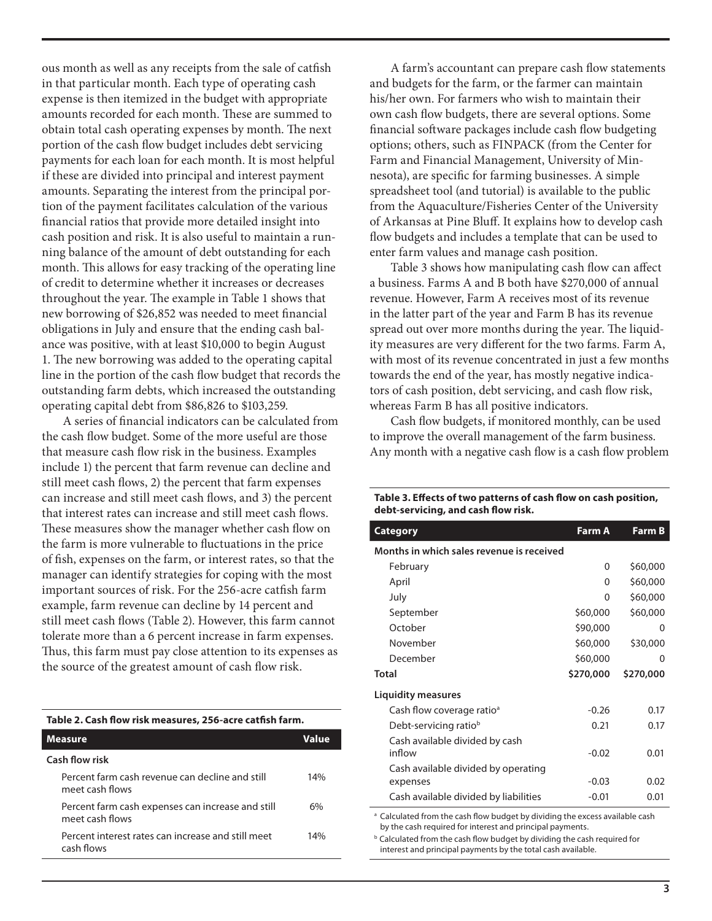ous month as well as any receipts from the sale of catfish in that particular month. Each type of operating cash expense is then itemized in the budget with appropriate amounts recorded for each month. These are summed to obtain total cash operating expenses by month. The next portion of the cash flow budget includes debt servicing payments for each loan for each month. It is most helpful if these are divided into principal and interest payment amounts. Separating the interest from the principal portion of the payment facilitates calculation of the various financial ratios that provide more detailed insight into cash position and risk. It is also useful to maintain a running balance of the amount of debt outstanding for each month. This allows for easy tracking of the operating line of credit to determine whether it increases or decreases throughout the year. The example in Table 1 shows that new borrowing of \$26,852 was needed to meet financial obligations in July and ensure that the ending cash balance was positive, with at least \$10,000 to begin August 1. The new borrowing was added to the operating capital line in the portion of the cash flow budget that records the outstanding farm debts, which increased the outstanding operating capital debt from \$86,826 to \$103,259.

A series of financial indicators can be calculated from the cash flow budget. Some of the more useful are those that measure cash flow risk in the business. Examples include 1) the percent that farm revenue can decline and still meet cash flows, 2) the percent that farm expenses can increase and still meet cash flows, and 3) the percent that interest rates can increase and still meet cash flows. These measures show the manager whether cash flow on the farm is more vulnerable to fluctuations in the price of fish, expenses on the farm, or interest rates, so that the manager can identify strategies for coping with the most important sources of risk. For the 256-acre catfish farm example, farm revenue can decline by 14 percent and still meet cash flows (Table 2). However, this farm cannot tolerate more than a 6 percent increase in farm expenses. Thus, this farm must pay close attention to its expenses as the source of the greatest amount of cash flow risk.

## **Table 2. Cash flow risk measures, 256-acre catfish farm.**

| <b>Measure</b>                                                       | Value |
|----------------------------------------------------------------------|-------|
| Cash flow risk                                                       |       |
| Percent farm cash revenue can decline and still<br>meet cash flows   | 14%   |
| Percent farm cash expenses can increase and still<br>meet cash flows | 6%    |
| Percent interest rates can increase and still meet<br>cash flows     | 14%   |

A farm's accountant can prepare cash flow statements and budgets for the farm, or the farmer can maintain his/her own. For farmers who wish to maintain their own cash flow budgets, there are several options. Some financial software packages include cash flow budgeting options; others, such as FINPACK (from the Center for Farm and Financial Management, University of Minnesota), are specific for farming businesses. A simple spreadsheet tool (and tutorial) is available to the public from the Aquaculture/Fisheries Center of the University of Arkansas at Pine Bluff. It explains how to develop cash flow budgets and includes a template that can be used to enter farm values and manage cash position.

Table 3 shows how manipulating cash flow can affect a business. Farms A and B both have \$270,000 of annual revenue. However, Farm A receives most of its revenue in the latter part of the year and Farm B has its revenue spread out over more months during the year. The liquidity measures are very different for the two farms. Farm A, with most of its revenue concentrated in just a few months towards the end of the year, has mostly negative indicators of cash position, debt servicing, and cash flow risk, whereas Farm B has all positive indicators.

Cash flow budgets, if monitored monthly, can be used to improve the overall management of the farm business. Any month with a negative cash flow is a cash flow problem

| <b>Category</b>                                                                         | <b>Farm A</b> | <b>Farm B</b> |
|-----------------------------------------------------------------------------------------|---------------|---------------|
|                                                                                         |               |               |
| Months in which sales revenue is received                                               |               |               |
| February                                                                                | $\Omega$      | \$60,000      |
| April                                                                                   | $\Omega$      | \$60,000      |
| July                                                                                    | $\Omega$      | \$60,000      |
| September                                                                               | \$60,000      | \$60,000      |
| October                                                                                 | \$90,000      | 0             |
| November                                                                                | \$60,000      | \$30,000      |
| December                                                                                | \$60,000      | 0             |
| <b>Total</b>                                                                            | \$270,000     | \$270,000     |
| <b>Liquidity measures</b>                                                               |               |               |
| Cash flow coverage ratio <sup>a</sup>                                                   | $-0.26$       | 0.17          |
| Debt-servicing ratio <sup>b</sup>                                                       | 0.21          | 0.17          |
| Cash available divided by cash                                                          |               |               |
| inflow                                                                                  | $-0.02$       | 0.01          |
| Cash available divided by operating                                                     |               |               |
| expenses                                                                                | $-0.03$       | 0.02          |
| Cash available divided by liabilities                                                   | $-0.01$       | 0.01          |
| <sup>a</sup> Calculated from the cash flow budget by dividing the excess available cash |               |               |

by the cash required for interest and principal payments. **b** Calculated from the cash flow budget by dividing the cash required for interest and principal payments by the total cash available.

## **Table 3. Effects of two patterns of cash flow on cash position, debt-servicing, and cash flow risk.**